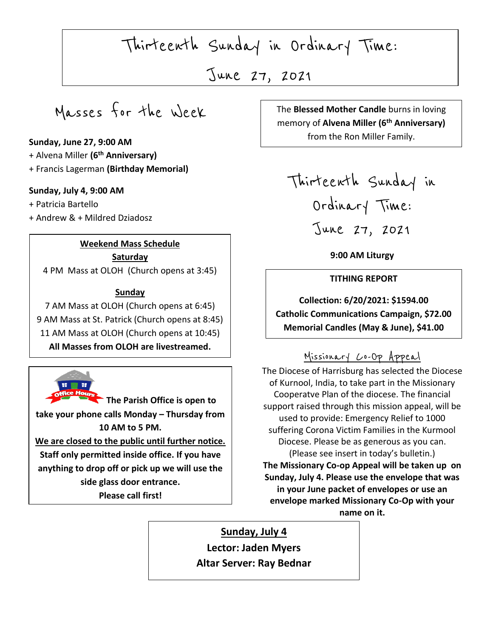Thirteenth Sunday in Ordinary Time:

June 27, 2021

Masses for the Week

### **Sunday, June 27, 9:00 AM**

- + Alvena Miller **(6th Anniversary)**
- + Francis Lagerman **(Birthday Memorial)**

### **Sunday, July 4, 9:00 AM**

+ Patricia Bartello

+ Andrew & + Mildred Dziadosz

### **Weekend Mass Schedule**

**Saturday** 

4 PM Mass at OLOH (Church opens at 3:45)

### **Sunday**

7 AM Mass at OLOH (Church opens at 6:45) 9 AM Mass at St. Patrick (Church opens at 8:45) 11 AM Mass at OLOH (Church opens at 10:45) **All Masses from OLOH are livestreamed.**



 **10 AM to 5 PM. The Parish Office is open to take your phone calls Monday – Thursday from We are closed to the public until further notice. Staff only permitted inside office. If you have anything to drop off or pick up we will use the side glass door entrance. Please call first!**

 $\begin{array}{|c|c|c|}\n\hline\n\end{array}$ The **Blessed Mother Candle** burns in loving memory of **Alvena Miller (6th Anniversary)** from the Ron Miller Family.

 $\overline{a}$ 

Thirteenth Sunday in Ordinary Time: June 27, 2021

**9:00 AM Liturgy**

#### **TITHING REPORT**

 **Collection: 6/20/2021: \$1594.00 Catholic Communications Campaign, \$72.00 Memorial Candles (May & June), \$41.00**

## Missionary Co-Op Appeal

The Diocese of Harrisburg has selected the Diocese of Kurnool, India, to take part in the Missionary Cooperatve Plan of the diocese. The financial support raised through this mission appeal, will be used to provide: Emergency Relief to 1000 suffering Corona Victim Families in the Kurmool Diocese. Please be as generous as you can. (Please see insert in today's bulletin.) **The Missionary Co-op Appeal will be taken up on Sunday, July 4. Please use the envelope that was in your June packet of envelopes or use an envelope marked Missionary Co-Op with your name on it.**

# **Sunday, July 4**

**Lector: Jaden Myers Altar Server: Ray Bednar**